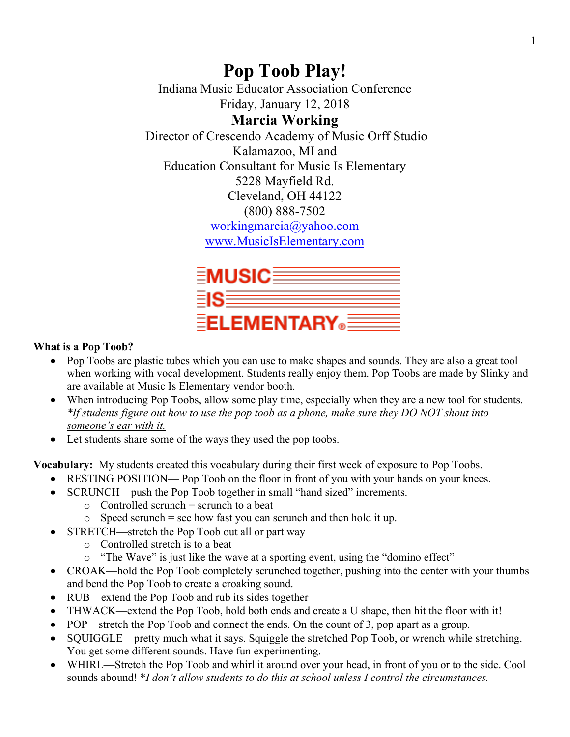# **Pop Toob Play!**

Indiana Music Educator Association Conference Friday, January 12, 2018

# **Marcia Working**

Director of Crescendo Academy of Music Orff Studio Kalamazoo, MI and Education Consultant for Music Is Elementary 5228 Mayfield Rd. Cleveland, OH 44122 (800) 888-7502 workingmarcia@yahoo.com www.MusicIsElementary.com



# **What is a Pop Toob?**

- Pop Toobs are plastic tubes which you can use to make shapes and sounds. They are also a great tool when working with vocal development. Students really enjoy them. Pop Toobs are made by Slinky and are available at Music Is Elementary vendor booth.
- When introducing Pop Toobs, allow some play time, especially when they are a new tool for students. *\*If students figure out how to use the pop toob as a phone, make sure they DO NOT shout into someone's ear with it.*
- Let students share some of the ways they used the pop toobs.

**Vocabulary:** My students created this vocabulary during their first week of exposure to Pop Toobs.

- RESTING POSITION— Pop Toob on the floor in front of you with your hands on your knees.
- SCRUNCH—push the Pop Toob together in small "hand sized" increments.
	- $\circ$  Controlled scrunch = scrunch to a beat
	- $\circ$  Speed scrunch = see how fast you can scrunch and then hold it up.
- STRETCH—stretch the Pop Toob out all or part way
	- o Controlled stretch is to a beat
	- o "The Wave" is just like the wave at a sporting event, using the "domino effect"
- CROAK—hold the Pop Toob completely scrunched together, pushing into the center with your thumbs and bend the Pop Toob to create a croaking sound.
- RUB—extend the Pop Toob and rub its sides together
- THWACK—extend the Pop Toob, hold both ends and create a U shape, then hit the floor with it!
- POP—stretch the Pop Toob and connect the ends. On the count of 3, pop apart as a group.
- SQUIGGLE—pretty much what it says. Squiggle the stretched Pop Toob, or wrench while stretching. You get some different sounds. Have fun experimenting.
- WHIRL—Stretch the Pop Toob and whirl it around over your head, in front of you or to the side. Cool sounds abound! \**I don't allow students to do this at school unless I control the circumstances.*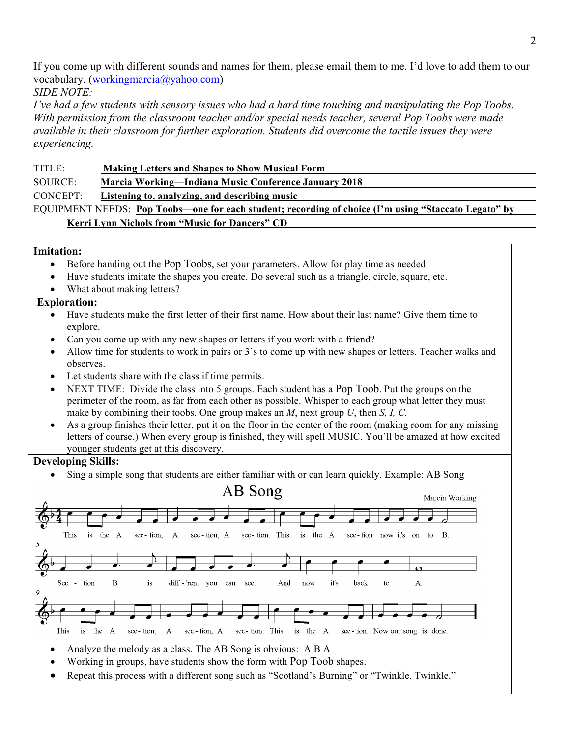If you come up with different sounds and names for them, please email them to me. I'd love to add them to our vocabulary. (workingmarcia@yahoo.com)

*SIDE NOTE:* 

*I've had a few students with sensory issues who had a hard time touching and manipulating the Pop Toobs. With permission from the classroom teacher and/or special needs teacher, several Pop Toobs were made available in their classroom for further exploration. Students did overcome the tactile issues they were experiencing.*

TITLE: **Making Letters and Shapes to Show Musical Form**

SOURCE: **Marcia Working—Indiana Music Conference January 2018**

CONCEPT: **Listening to, analyzing, and describing music**

EQUIPMENT NEEDS: **Pop Toobs—one for each student; recording of choice (I'm using "Staccato Legato" by Kerri Lynn Nichols from "Music for Dancers" CD**

#### **Imitation:**

- Before handing out the Pop Toobs, set your parameters. Allow for play time as needed.
- Have students imitate the shapes you create. Do several such as a triangle, circle, square, etc.
- What about making letters?

#### **Exploration:**

- Have students make the first letter of their first name. How about their last name? Give them time to explore.
- Can you come up with any new shapes or letters if you work with a friend?
- Allow time for students to work in pairs or 3's to come up with new shapes or letters. Teacher walks and observes.
- Let students share with the class if time permits.
- NEXT TIME: Divide the class into 5 groups. Each student has a Pop Toob. Put the groups on the perimeter of the room, as far from each other as possible. Whisper to each group what letter they must make by combining their toobs. One group makes an *M*, next group *U*, then *S, I, C.*
- As a group finishes their letter, put it on the floor in the center of the room (making room for any missing letters of course.) When every group is finished, they will spell MUSIC. You'll be amazed at how excited younger students get at this discovery.

#### **Developing Skills:**

• Sing a simple song that students are either familiar with or can learn quickly. Example: AB Song



- Analyze the melody as a class. The AB Song is obvious: A B A
- Working in groups, have students show the form with Pop Toob shapes.
- Repeat this process with a different song such as "Scotland's Burning" or "Twinkle, Twinkle."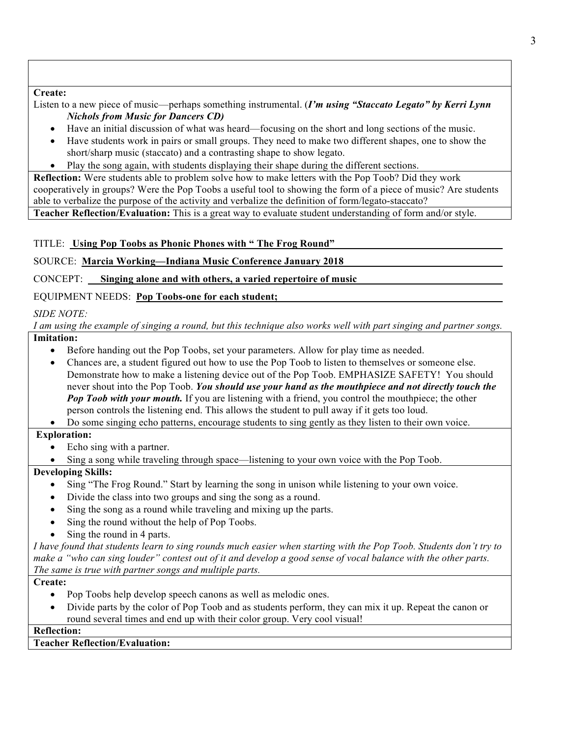**Create:**

Listen to a new piece of music—perhaps something instrumental. (*I'm using "Staccato Legato" by Kerri Lynn Nichols from Music for Dancers CD)*

- Have an initial discussion of what was heard—focusing on the short and long sections of the music.
- Have students work in pairs or small groups. They need to make two different shapes, one to show the short/sharp music (staccato) and a contrasting shape to show legato.
- Play the song again, with students displaying their shape during the different sections.

**Reflection:** Were students able to problem solve how to make letters with the Pop Toob? Did they work cooperatively in groups? Were the Pop Toobs a useful tool to showing the form of a piece of music? Are students able to verbalize the purpose of the activity and verbalize the definition of form/legato-staccato?

**Teacher Reflection/Evaluation:** This is a great way to evaluate student understanding of form and/or style.

## TITLE: **Using Pop Toobs as Phonic Phones with " The Frog Round"**

SOURCE: **Marcia Working—Indiana Music Conference January 2018**

CONCEPT: **Singing alone and with others, a varied repertoire of music**

EQUIPMENT NEEDS: **Pop Toobs-one for each student;**

# *SIDE NOTE:*

*I am using the example of singing a round, but this technique also works well with part singing and partner songs.*

# **Imitation:**

- Before handing out the Pop Toobs, set your parameters. Allow for play time as needed.
- Chances are, a student figured out how to use the Pop Toob to listen to themselves or someone else. Demonstrate how to make a listening device out of the Pop Toob. EMPHASIZE SAFETY! You should never shout into the Pop Toob. *You should use your hand as the mouthpiece and not directly touch the Pop Toob with your mouth.* If you are listening with a friend, you control the mouthpiece; the other person controls the listening end. This allows the student to pull away if it gets too loud.
- Do some singing echo patterns, encourage students to sing gently as they listen to their own voice.

## **Exploration:**

- Echo sing with a partner.
- Sing a song while traveling through space—listening to your own voice with the Pop Toob.

## **Developing Skills:**

- Sing "The Frog Round." Start by learning the song in unison while listening to your own voice.
- Divide the class into two groups and sing the song as a round.
- Sing the song as a round while traveling and mixing up the parts.
- Sing the round without the help of Pop Toobs.
- Sing the round in 4 parts.

*I have found that students learn to sing rounds much easier when starting with the Pop Toob. Students don't try to make a "who can sing louder" contest out of it and develop a good sense of vocal balance with the other parts. The same is true with partner songs and multiple parts.*

#### **Create:**

- Pop Toobs help develop speech canons as well as melodic ones.
- Divide parts by the color of Pop Toob and as students perform, they can mix it up. Repeat the canon or round several times and end up with their color group. Very cool visual!

**Reflection:**

#### **Teacher Reflection/Evaluation:**